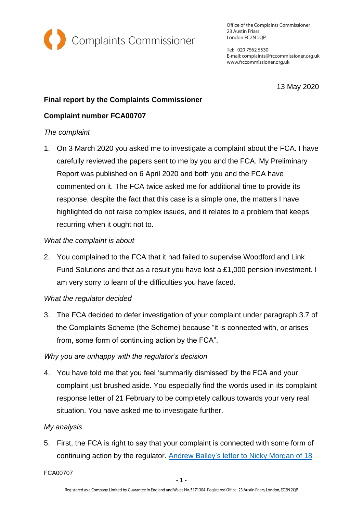

Office of the Complaints Commissioner 23 Austin Friars London EC2N 2QP

Tel: 020 7562 5530 E-mail: complaints@frccommissioner.org.uk www.frccommissioner.org.uk

13 May 2020

# **Final report by the Complaints Commissioner**

# **Complaint number FCA00707**

#### *The complaint*

1. On 3 March 2020 you asked me to investigate a complaint about the FCA. I have carefully reviewed the papers sent to me by you and the FCA. My Preliminary Report was published on 6 April 2020 and both you and the FCA have commented on it. The FCA twice asked me for additional time to provide its response, despite the fact that this case is a simple one, the matters I have highlighted do not raise complex issues, and it relates to a problem that keeps recurring when it ought not to.

#### *What the complaint is about*

2. You complained to the FCA that it had failed to supervise Woodford and Link Fund Solutions and that as a result you have lost a £1,000 pension investment. I am very sorry to learn of the difficulties you have faced.

## *What the regulator decided*

3. The FCA decided to defer investigation of your complaint under paragraph 3.7 of the Complaints Scheme (the Scheme) because "it is connected with, or arises from, some form of continuing action by the FCA".

## *Why you are unhappy with the regulator's decision*

4. You have told me that you feel 'summarily dismissed' by the FCA and your complaint just brushed aside. You especially find the words used in its complaint response letter of 21 February to be completely callous towards your very real situation. You have asked me to investigate further.

#### *My analysis*

5. First, the FCA is right to say that your complaint is connected with some form of continuing action by the regulator. [Andrew Bailey's letter to Nicky Morgan of 18](https://www.fca.org.uk/publication/correspondence/lf-woodford-equity-income-fund-letter-tsc.pdf) 

FCA00707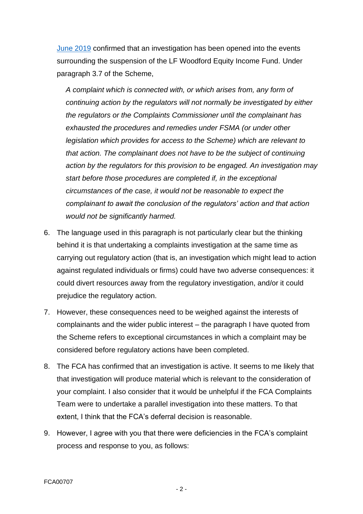[June 2019](https://www.fca.org.uk/publication/correspondence/lf-woodford-equity-income-fund-letter-tsc.pdf) confirmed that an investigation has been opened into the events surrounding the suspension of the LF Woodford Equity Income Fund. Under paragraph 3.7 of the Scheme,

*A complaint which is connected with, or which arises from, any form of continuing action by the regulators will not normally be investigated by either the regulators or the Complaints Commissioner until the complainant has exhausted the procedures and remedies under FSMA (or under other legislation which provides for access to the Scheme) which are relevant to that action. The complainant does not have to be the subject of continuing action by the regulators for this provision to be engaged. An investigation may start before those procedures are completed if, in the exceptional circumstances of the case, it would not be reasonable to expect the complainant to await the conclusion of the regulators' action and that action would not be significantly harmed.*

- 6. The language used in this paragraph is not particularly clear but the thinking behind it is that undertaking a complaints investigation at the same time as carrying out regulatory action (that is, an investigation which might lead to action against regulated individuals or firms) could have two adverse consequences: it could divert resources away from the regulatory investigation, and/or it could prejudice the regulatory action.
- 7. However, these consequences need to be weighed against the interests of complainants and the wider public interest – the paragraph I have quoted from the Scheme refers to exceptional circumstances in which a complaint may be considered before regulatory actions have been completed.
- 8. The FCA has confirmed that an investigation is active. It seems to me likely that that investigation will produce material which is relevant to the consideration of your complaint. I also consider that it would be unhelpful if the FCA Complaints Team were to undertake a parallel investigation into these matters. To that extent, I think that the FCA's deferral decision is reasonable.
- 9. However, I agree with you that there were deficiencies in the FCA's complaint process and response to you, as follows: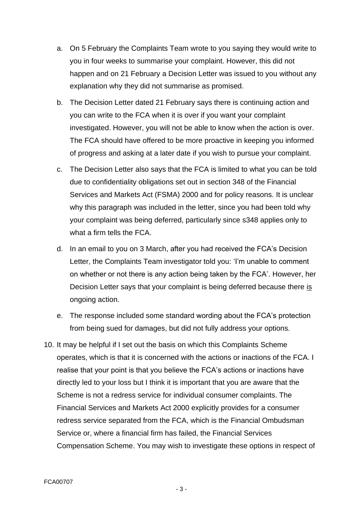- a. On 5 February the Complaints Team wrote to you saying they would write to you in four weeks to summarise your complaint. However, this did not happen and on 21 February a Decision Letter was issued to you without any explanation why they did not summarise as promised.
- b. The Decision Letter dated 21 February says there is continuing action and you can write to the FCA when it is over if you want your complaint investigated. However, you will not be able to know when the action is over. The FCA should have offered to be more proactive in keeping you informed of progress and asking at a later date if you wish to pursue your complaint.
- c. The Decision Letter also says that the FCA is limited to what you can be told due to confidentiality obligations set out in section 348 of the Financial Services and Markets Act (FSMA) 2000 and for policy reasons. It is unclear why this paragraph was included in the letter, since you had been told why your complaint was being deferred, particularly since s348 applies only to what a firm tells the FCA.
- d. In an email to you on 3 March, after you had received the FCA's Decision Letter, the Complaints Team investigator told you: 'I'm unable to comment on whether or not there is any action being taken by the FCA'. However, her Decision Letter says that your complaint is being deferred because there is ongoing action.
- e. The response included some standard wording about the FCA's protection from being sued for damages, but did not fully address your options.
- 10. It may be helpful if I set out the basis on which this Complaints Scheme operates, which is that it is concerned with the actions or inactions of the FCA. I realise that your point is that you believe the FCA's actions or inactions have directly led to your loss but I think it is important that you are aware that the Scheme is not a redress service for individual consumer complaints. The Financial Services and Markets Act 2000 explicitly provides for a consumer redress service separated from the FCA, which is the Financial Ombudsman Service or, where a financial firm has failed, the Financial Services Compensation Scheme. You may wish to investigate these options in respect of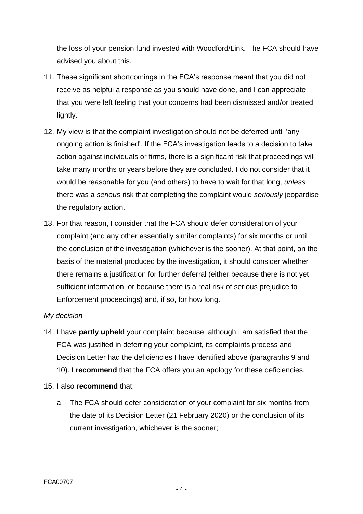the loss of your pension fund invested with Woodford/Link. The FCA should have advised you about this.

- 11. These significant shortcomings in the FCA's response meant that you did not receive as helpful a response as you should have done, and I can appreciate that you were left feeling that your concerns had been dismissed and/or treated lightly.
- 12. My view is that the complaint investigation should not be deferred until 'any ongoing action is finished'. If the FCA's investigation leads to a decision to take action against individuals or firms, there is a significant risk that proceedings will take many months or years before they are concluded. I do not consider that it would be reasonable for you (and others) to have to wait for that long, *unless* there was a *serious* risk that completing the complaint would *seriously* jeopardise the regulatory action.
- 13. For that reason, I consider that the FCA should defer consideration of your complaint (and any other essentially similar complaints) for six months or until the conclusion of the investigation (whichever is the sooner). At that point, on the basis of the material produced by the investigation, it should consider whether there remains a justification for further deferral (either because there is not yet sufficient information, or because there is a real risk of serious prejudice to Enforcement proceedings) and, if so, for how long.

## *My decision*

14. I have **partly upheld** your complaint because, although I am satisfied that the FCA was justified in deferring your complaint, its complaints process and Decision Letter had the deficiencies I have identified above (paragraphs 9 and 10). I **recommend** that the FCA offers you an apology for these deficiencies.

## 15. I also **recommend** that:

a. The FCA should defer consideration of your complaint for six months from the date of its Decision Letter (21 February 2020) or the conclusion of its current investigation, whichever is the sooner;